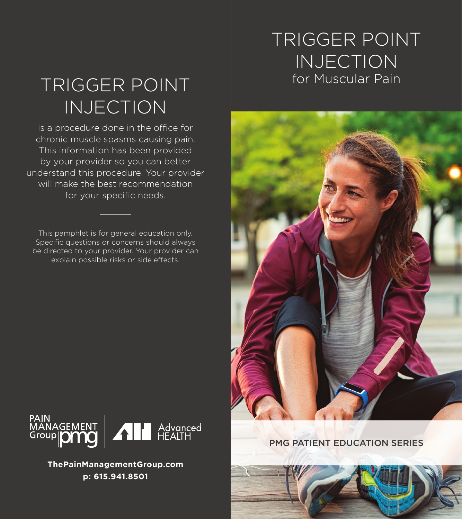# TRIGGER POINT INJECTION

## TRIGGER POINT for Muscular Pain INJECTION

is a procedure done in the office for chronic muscle spasms causing pain. This information has been provided by your provider so you can better understand this procedure. Your provider will make the best recommendation for your specific needs.

This pamphlet is for general education only. Specific questions or concerns should always be directed to your provider. Your provider can explain possible risks or side effects.





**ThePainManagementGroup.com p: 615.941.8501**

PMG PATIENT EDUCATION SERIES